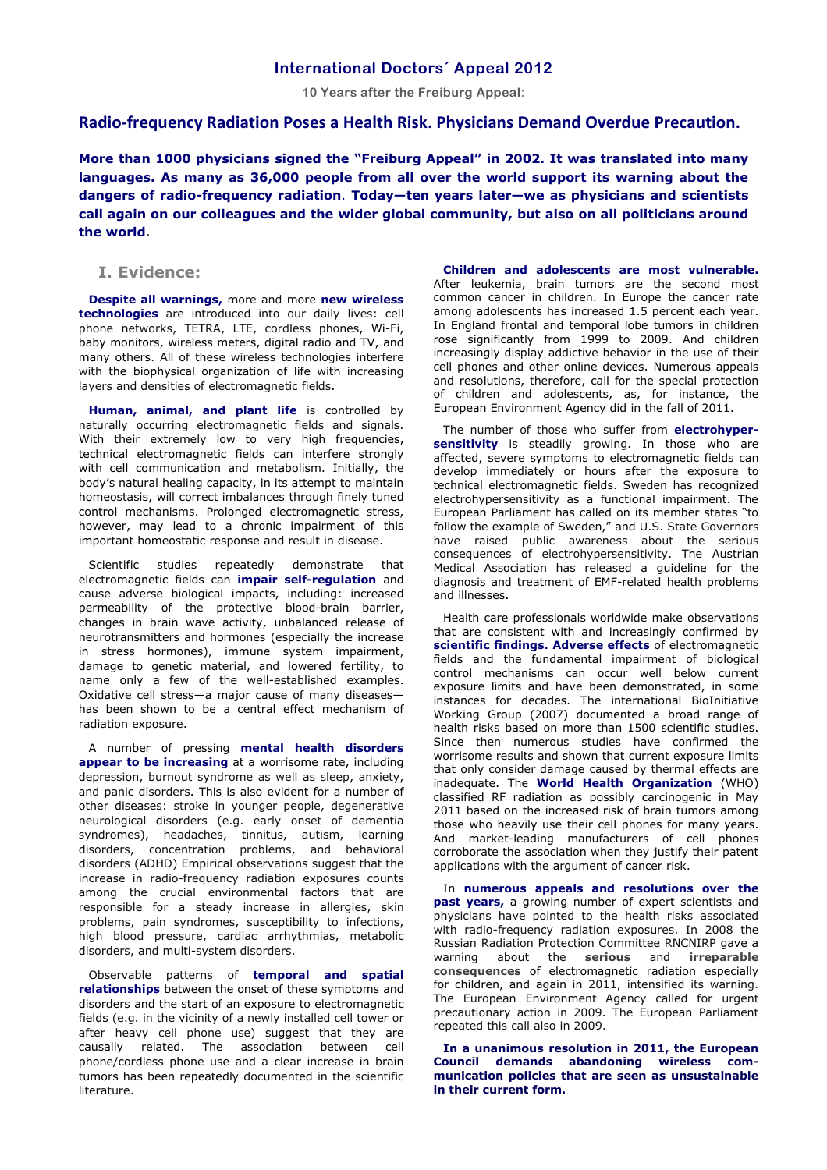## **International Doctors´ Appeal 2012**

**10 Years after the Freiburg Appeal:** 

## **Radio-frequency Radiation Poses a Health Risk. Physicians Demand Overdue Precaution.**

**More than 1000 physicians signed the "Freiburg Appeal" in 2002. It was translated into many languages. As many as 36,000 people from all over the world support its warning about the dangers of radio-frequency radiation**. **Today—ten years later—we as physicians and scientists call again on our colleagues and the wider global community, but also on all politicians around the world.** 

## **I. Evidence:**

**Despite all warnings,** more and more **new wireless technologies** are introduced into our daily lives: cell phone networks, TETRA, LTE, cordless phones, Wi-Fi, baby monitors, wireless meters, digital radio and TV, and many others. All of these wireless technologies interfere with the biophysical organization of life with increasing layers and densities of electromagnetic fields.

**Human, animal, and plant life** is controlled by naturally occurring electromagnetic fields and signals. With their extremely low to very high frequencies, technical electromagnetic fields can interfere strongly with cell communication and metabolism. Initially, the body's natural healing capacity, in its attempt to maintain homeostasis, will correct imbalances through finely tuned control mechanisms. Prolonged electromagnetic stress, however, may lead to a chronic impairment of this important homeostatic response and result in disease.

Scientific studies repeatedly demonstrate that electromagnetic fields can **impair self-regulation** and cause adverse biological impacts, including: increased permeability of the protective blood-brain barrier, changes in brain wave activity, unbalanced release of neurotransmitters and hormones (especially the increase in stress hormones), immune system impairment, damage to genetic material, and lowered fertility, to name only a few of the well-established examples. Oxidative cell stress—a major cause of many diseases has been shown to be a central effect mechanism of radiation exposure.

A number of pressing **mental health disorders appear to be increasing** at a worrisome rate, including depression, burnout syndrome as well as sleep, anxiety, and panic disorders. This is also evident for a number of other diseases: stroke in younger people, degenerative neurological disorders (e.g. early onset of dementia syndromes), headaches, tinnitus, autism, learning disorders, concentration problems, and behavioral disorders (ADHD) Empirical observations suggest that the increase in radio-frequency radiation exposures counts among the crucial environmental factors that are responsible for a steady increase in allergies, skin problems, pain syndromes, susceptibility to infections, high blood pressure, cardiac arrhythmias, metabolic disorders, and multi-system disorders.

Observable patterns of **temporal and spatial relationships** between the onset of these symptoms and disorders and the start of an exposure to electromagnetic fields (e.g. in the vicinity of a newly installed cell tower or after heavy cell phone use) suggest that they are causally related. The association between cell phone/cordless phone use and a clear increase in brain tumors has been repeatedly documented in the scientific literature.

**Children and adolescents are most vulnerable.** After leukemia, brain tumors are the second most common cancer in children. In Europe the cancer rate among adolescents has increased 1.5 percent each year. In England frontal and temporal lobe tumors in children rose significantly from 1999 to 2009. And children increasingly display addictive behavior in the use of their cell phones and other online devices. Numerous appeals and resolutions, therefore, call for the special protection of children and adolescents, as, for instance, the European Environment Agency did in the fall of 2011.

The number of those who suffer from **electrohyper**sensitivity is steadily growing. In those who are affected, severe symptoms to electromagnetic fields can develop immediately or hours after the exposure to technical electromagnetic fields. Sweden has recognized electrohypersensitivity as a functional impairment. The European Parliament has called on its member states "to follow the example of Sweden," and U.S. State Governors have raised public awareness about the serious consequences of electrohypersensitivity. The Austrian Medical Association has released a guideline for the diagnosis and treatment of EMF-related health problems and illnesses.

Health care professionals worldwide make observations that are consistent with and increasingly confirmed by **scientific findings. Adverse effects** of electromagnetic fields and the fundamental impairment of biological control mechanisms can occur well below current exposure limits and have been demonstrated, in some instances for decades. The international BioInitiative Working Group (2007) documented a broad range of health risks based on more than 1500 scientific studies. Since then numerous studies have confirmed the worrisome results and shown that current exposure limits that only consider damage caused by thermal effects are inadequate. The **World Health Organization** (WHO) classified RF radiation as possibly carcinogenic in May 2011 based on the increased risk of brain tumors among those who heavily use their cell phones for many years. And market-leading manufacturers of cell phones corroborate the association when they justify their patent applications with the argument of cancer risk.

In **numerous appeals and resolutions over the past years,** a growing number of expert scientists and physicians have pointed to the health risks associated with radio-frequency radiation exposures. In 2008 the Russian Radiation Protection Committee RNCNIRP gave a warning about the **serious** and **irreparable consequences** of electromagnetic radiation especially for children, and again in 2011, intensified its warning. The European Environment Agency called for urgent precautionary action in 2009. The European Parliament repeated this call also in 2009.

**In a unanimous resolution in 2011, the European Council demands abandoning wireless communication policies that are seen as unsustainable in their current form.**